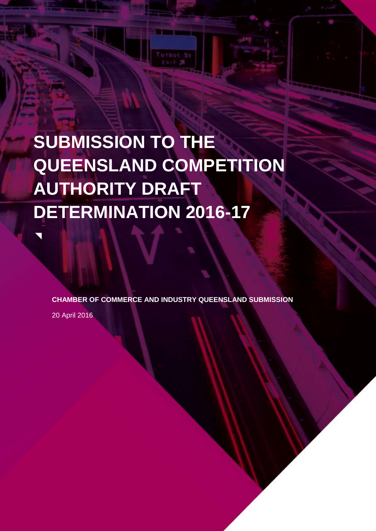# **SUBMISSION TO THE QUEENSLAND COMPETITION AUTHORITY DRAFT DETERMINATION 2016-17**

**CHAMBER OF COMMERCE AND INDUSTRY QUEENSLAND SUBMISSION**

20 April 2016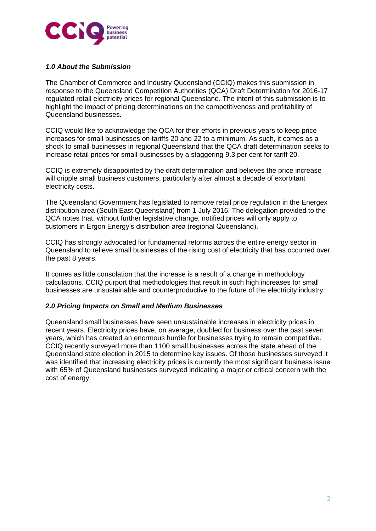

### *1.0 About the Submission*

The Chamber of Commerce and Industry Queensland (CCIQ) makes this submission in response to the Queensland Competition Authorities (QCA) Draft Determination for 2016-17 regulated retail electricity prices for regional Queensland. The intent of this submission is to highlight the impact of pricing determinations on the competitiveness and profitability of Queensland businesses.

CCIQ would like to acknowledge the QCA for their efforts in previous years to keep price increases for small businesses on tariffs 20 and 22 to a minimum. As such, it comes as a shock to small businesses in regional Queensland that the QCA draft determination seeks to increase retail prices for small businesses by a staggering 9.3 per cent for tariff 20.

CCIQ is extremely disappointed by the draft determination and believes the price increase will cripple small business customers, particularly after almost a decade of exorbitant electricity costs.

The Queensland Government has legislated to remove retail price regulation in the Energex distribution area (South East Queensland) from 1 July 2016. The delegation provided to the QCA notes that, without further legislative change, notified prices will only apply to customers in Ergon Energy's distribution area (regional Queensland).

CCIQ has strongly advocated for fundamental reforms across the entire energy sector in Queensland to relieve small businesses of the rising cost of electricity that has occurred over the past 8 years.

It comes as little consolation that the increase is a result of a change in methodology calculations. CCIQ purport that methodologies that result in such high increases for small businesses are unsustainable and counterproductive to the future of the electricity industry.

#### *2.0 Pricing Impacts on Small and Medium Businesses*

Queensland small businesses have seen unsustainable increases in electricity prices in recent years. Electricity prices have, on average, doubled for business over the past seven years, which has created an enormous hurdle for businesses trying to remain competitive. CCIQ recently surveyed more than 1100 small businesses across the state ahead of the Queensland state election in 2015 to determine key issues. Of those businesses surveyed it was identified that increasing electricity prices is currently the most significant business issue with 65% of Queensland businesses surveyed indicating a major or critical concern with the cost of energy.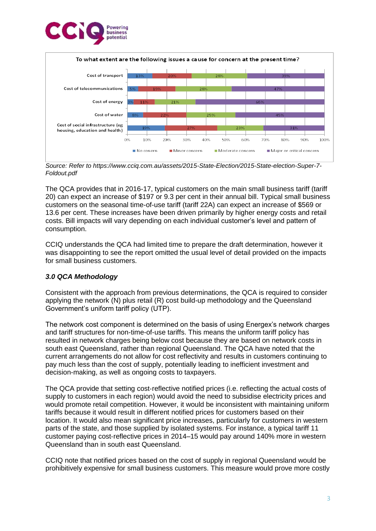



*Source: Refer to https://www.cciq.com.au/assets/2015-State-Election/2015-State-election-Super-7- Foldout.pdf* 

The QCA provides that in 2016-17, typical customers on the main small business tariff (tariff 20) can expect an increase of \$197 or 9.3 per cent in their annual bill. Typical small business customers on the seasonal time-of-use tariff (tariff 22A) can expect an increase of \$569 or 13.6 per cent. These increases have been driven primarily by higher energy costs and retail costs. Bill impacts will vary depending on each individual customer's level and pattern of consumption.

CCIQ understands the QCA had limited time to prepare the draft determination, however it was disappointing to see the report omitted the usual level of detail provided on the impacts for small business customers.

# *3.0 QCA Methodology*

Consistent with the approach from previous determinations, the QCA is required to consider applying the network (N) plus retail (R) cost build-up methodology and the Queensland Government's uniform tariff policy (UTP).

The network cost component is determined on the basis of using Energex's network charges and tariff structures for non-time-of-use tariffs. This means the uniform tariff policy has resulted in network charges being below cost because they are based on network costs in south east Queensland, rather than regional Queensland. The QCA have noted that the current arrangements do not allow for cost reflectivity and results in customers continuing to pay much less than the cost of supply, potentially leading to inefficient investment and decision-making, as well as ongoing costs to taxpayers.

The QCA provide that setting cost-reflective notified prices (i.e. reflecting the actual costs of supply to customers in each region) would avoid the need to subsidise electricity prices and would promote retail competition. However, it would be inconsistent with maintaining uniform tariffs because it would result in different notified prices for customers based on their location. It would also mean significant price increases, particularly for customers in western parts of the state, and those supplied by isolated systems. For instance, a typical tariff 11 customer paying cost-reflective prices in 2014–15 would pay around 140% more in western Queensland than in south east Queensland.

CCIQ note that notified prices based on the cost of supply in regional Queensland would be prohibitively expensive for small business customers. This measure would prove more costly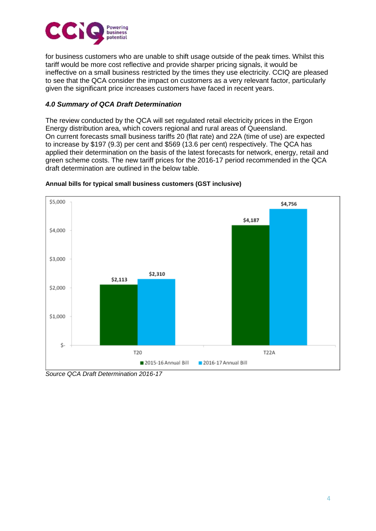

for business customers who are unable to shift usage outside of the peak times. Whilst this tariff would be more cost reflective and provide sharper pricing signals, it would be ineffective on a small business restricted by the times they use electricity. CCIQ are pleased to see that the QCA consider the impact on customers as a very relevant factor, particularly given the significant price increases customers have faced in recent years.

## *4.0 Summary of QCA Draft Determination*

The review conducted by the QCA will set regulated retail electricity prices in the Ergon Energy distribution area, which covers regional and rural areas of Queensland. On current forecasts small business tariffs 20 (flat rate) and 22A (time of use) are expected to increase by \$197 (9.3) per cent and \$569 (13.6 per cent) respectively. The QCA has applied their determination on the basis of the latest forecasts for network, energy, retail and green scheme costs. The new tariff prices for the 2016-17 period recommended in the QCA draft determination are outlined in the below table.



#### **Annual bills for typical small business customers (GST inclusive)**

*Source QCA Draft Determination 2016-17*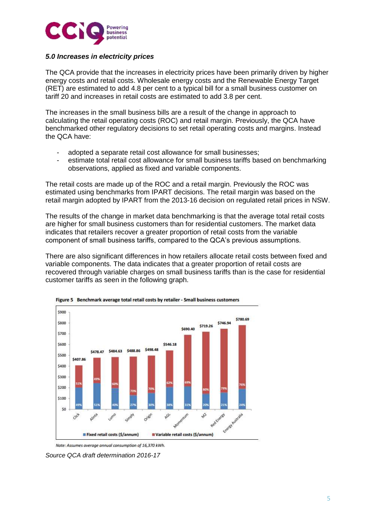

### *5.0 Increases in electricity prices*

The QCA provide that the increases in electricity prices have been primarily driven by higher energy costs and retail costs. Wholesale energy costs and the Renewable Energy Target (RET) are estimated to add 4.8 per cent to a typical bill for a small business customer on tariff 20 and increases in retail costs are estimated to add 3.8 per cent.

The increases in the small business bills are a result of the change in approach to calculating the retail operating costs (ROC) and retail margin. Previously, the QCA have benchmarked other regulatory decisions to set retail operating costs and margins. Instead the QCA have:

- adopted a separate retail cost allowance for small businesses;
- estimate total retail cost allowance for small business tariffs based on benchmarking observations, applied as fixed and variable components.

The retail costs are made up of the ROC and a retail margin. Previously the ROC was estimated using benchmarks from IPART decisions. The retail margin was based on the retail margin adopted by IPART from the 2013-16 decision on regulated retail prices in NSW.

The results of the change in market data benchmarking is that the average total retail costs are higher for small business customers than for residential customers. The market data indicates that retailers recover a greater proportion of retail costs from the variable component of small business tariffs, compared to the QCA's previous assumptions.

There are also significant differences in how retailers allocate retail costs between fixed and variable components. The data indicates that a greater proportion of retail costs are recovered through variable charges on small business tariffs than is the case for residential customer tariffs as seen in the following graph.





Note: Assumes average annual consumption of 16,370 kWh.

*Source QCA draft determination 2016-17*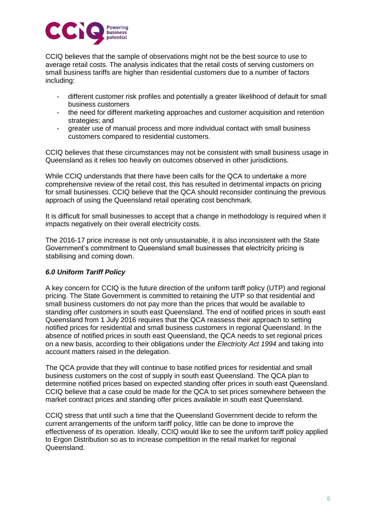

CCIQ believes that the sample of observations might not be the best source to use to average retail costs. The analysis indicates that the retail costs of serving customers on small business tariffs are higher than residential customers due to a number of factors including:

- different customer risk profiles and potentially a greater likelihood of default for small business customers
- the need for different marketing approaches and customer acquisition and retention strategies; and
- greater use of manual process and more individual contact with small business customers compared to residential customers.

CCIQ believes that these circumstances may not be consistent with small business usage in Queensland as it relies too heavily on outcomes observed in other jurisdictions.

While CCIQ understands that there have been calls for the QCA to undertake a more comprehensive review of the retail cost, this has resulted in detrimental impacts on pricing for small businesses. CCIQ believe that the QCA should reconsider continuing the previous approach of using the Queensland retail operating cost benchmark.

It is difficult for small businesses to accept that a change in methodology is required when it impacts negatively on their overall electricity costs.

The 2016-17 price increase is not only unsustainable, it is also inconsistent with the State Government's commitment to Queensland small businesses that electricity pricing is stabilising and coming down.

#### *6.0 Uniform Tariff Policy*

A key concern for CCIQ is the future direction of the uniform tariff policy (UTP) and regional pricing. The State Government is committed to retaining the UTP so that residential and small business customers do not pay more than the prices that would be available to standing offer customers in south east Queensland. The end of notified prices in south east Queensland from 1 July 2016 requires that the QCA reassess their approach to setting notified prices for residential and small business customers in regional Queensland. In the absence of notified prices in south east Queensland, the QCA needs to set regional prices on a new basis, according to their obligations under the *Electricity Act 1994* and taking into account matters raised in the delegation.

The QCA provide that they will continue to base notified prices for residential and small business customers on the cost of supply in south east Queensland. The QCA plan to determine notified prices based on expected standing offer prices in south east Queensland. CCIQ believe that a case could be made for the QCA to set prices somewhere between the market contract prices and standing offer prices available in south east Queensland.

CCIQ stress that until such a time that the Queensland Government decide to reform the current arrangements of the uniform tariff policy, little can be done to improve the effectiveness of its operation. Ideally, CCIQ would like to see the uniform tariff policy applied to Ergon Distribution so as to increase competition in the retail market for regional Queensland.